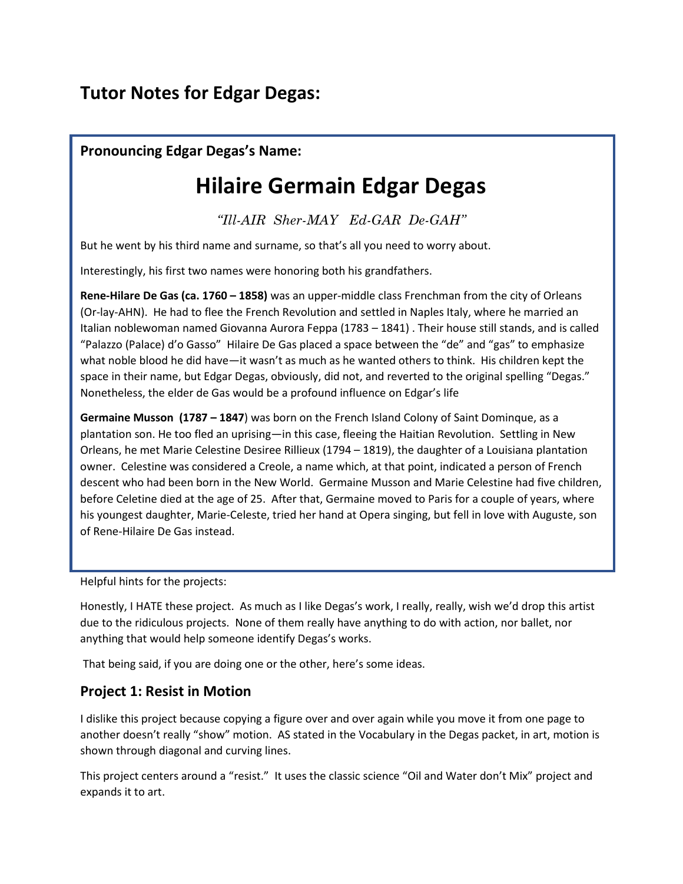## **Tutor Notes for Edgar Degas:**

### **Pronouncing Edgar Degas's Name:**

# **Hilaire Germain Edgar Degas**

*"Ill-AIR Sher-MAY Ed-GAR De-GAH"* 

But he went by his third name and surname, so that's all you need to worry about.

Interestingly, his first two names were honoring both his grandfathers.

**Rene-Hilare De Gas (ca. 1760 – 1858)** was an upper-middle class Frenchman from the city of Orleans (Or-lay-AHN). He had to flee the French Revolution and settled in Naples Italy, where he married an Italian noblewoman named Giovanna Aurora Feppa (1783 – 1841) . Their house still stands, and is called "Palazzo (Palace) d'o Gasso" Hilaire De Gas placed a space between the "de" and "gas" to emphasize what noble blood he did have—it wasn't as much as he wanted others to think. His children kept the space in their name, but Edgar Degas, obviously, did not, and reverted to the original spelling "Degas." Nonetheless, the elder de Gas would be a profound influence on Edgar's life

**Germaine Musson (1787 – 1847**) was born on the French Island Colony of Saint Dominque, as a plantation son. He too fled an uprising—in this case, fleeing the Haitian Revolution. Settling in New Orleans, he met Marie Celestine Desiree Rillieux (1794 – 1819), the daughter of a Louisiana plantation owner. Celestine was considered a Creole, a name which, at that point, indicated a person of French descent who had been born in the New World. Germaine Musson and Marie Celestine had five children, before Celetine died at the age of 25. After that, Germaine moved to Paris for a couple of years, where his youngest daughter, Marie-Celeste, tried her hand at Opera singing, but fell in love with Auguste, son of Rene-Hilaire De Gas instead.

Helpful hints for the projects:

Honestly, I HATE these project. As much as I like Degas's work, I really, really, wish we'd drop this artist due to the ridiculous projects. None of them really have anything to do with action, nor ballet, nor anything that would help someone identify Degas's works.

That being said, if you are doing one or the other, here's some ideas.

#### **Project 1: Resist in Motion**

I dislike this project because copying a figure over and over again while you move it from one page to another doesn't really "show" motion. AS stated in the Vocabulary in the Degas packet, in art, motion is shown through diagonal and curving lines.

This project centers around a "resist." It uses the classic science "Oil and Water don't Mix" project and expands it to art.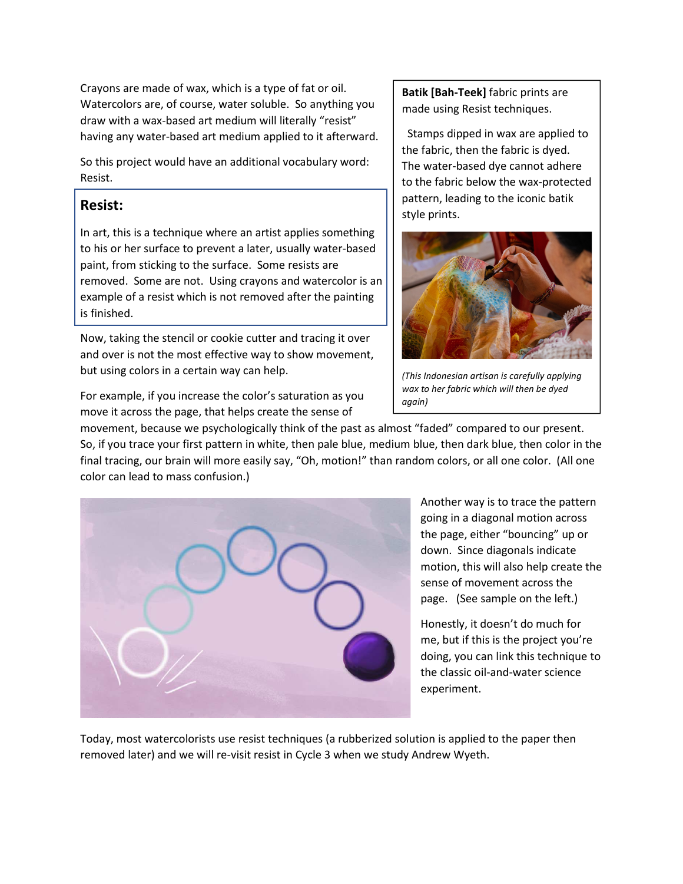Crayons are made of wax, which is a type of fat or oil. Watercolors are, of course, water soluble. So anything you draw with a wax-based art medium will literally "resist" having any water-based art medium applied to it afterward.

So this project would have an additional vocabulary word: Resist.

#### **Resist:**

In art, this is a technique where an artist applies something to his or her surface to prevent a later, usually water-based paint, from sticking to the surface. Some resists are removed. Some are not. Using crayons and watercolor is an example of a resist which is not removed after the painting is finished.

Now, taking the stencil or cookie cutter and tracing it over and over is not the most effective way to show movement, but using colors in a certain way can help.

For example, if you increase the color's saturation as you move it across the page, that helps create the sense of

**Batik [Bah-Teek]** fabric prints are made using Resist techniques.

 Stamps dipped in wax are applied to the fabric, then the fabric is dyed. The water-based dye cannot adhere to the fabric below the wax-protected pattern, leading to the iconic batik style prints.



*(This Indonesian artisan is carefully applying wax to her fabric which will then be dyed again)* 

movement, because we psychologically think of the past as almost "faded" compared to our present. So, if you trace your first pattern in white, then pale blue, medium blue, then dark blue, then color in the final tracing, our brain will more easily say, "Oh, motion!" than random colors, or all one color. (All one color can lead to mass confusion.)



Another way is to trace the pattern going in a diagonal motion across the page, either "bouncing" up or down. Since diagonals indicate motion, this will also help create the sense of movement across the page. (See sample on the left.)

Honestly, it doesn't do much for me, but if this is the project you're doing, you can link this technique to the classic oil-and-water science experiment.

Today, most watercolorists use resist techniques (a rubberized solution is applied to the paper then removed later) and we will re-visit resist in Cycle 3 when we study Andrew Wyeth.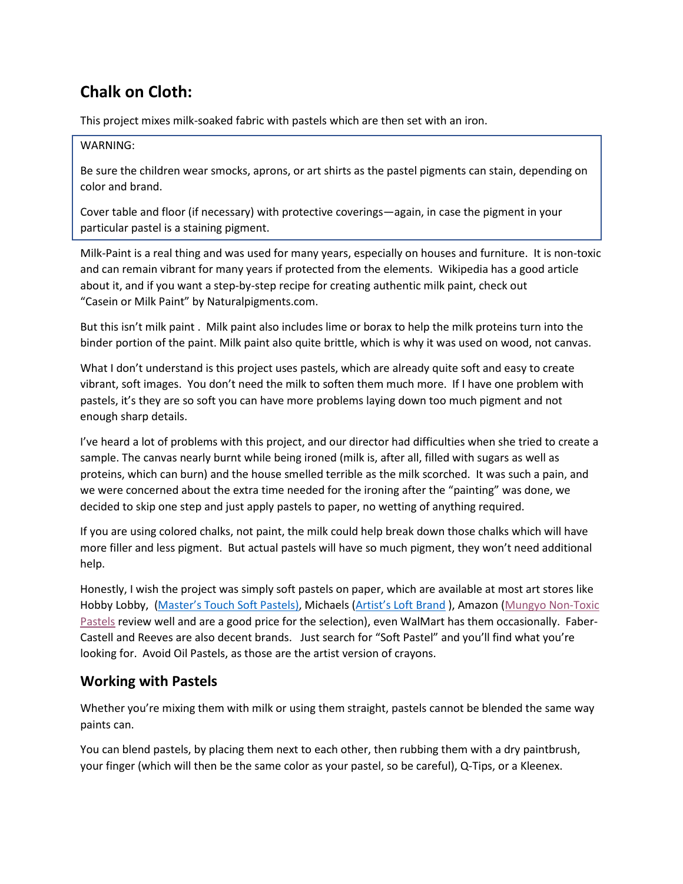## **Chalk on Cloth:**

This project mixes milk-soaked fabric with pastels which are then set with an iron.

#### WARNING:

Be sure the children wear smocks, aprons, or art shirts as the pastel pigments can stain, depending on color and brand.

Cover table and floor (if necessary) with protective coverings—again, in case the pigment in your particular pastel is a staining pigment.

Milk-Paint is a real thing and was used for many years, especially on houses and furniture. It is non-toxic and can remain vibrant for many years if protected from the elements. Wikipedia has a good article about it, and if you want a step-by-step recipe for creating authentic milk paint, check out "Casein or Milk Paint" by Naturalpigments.com.

But this isn't milk paint . Milk paint also includes lime or borax to help the milk proteins turn into the binder portion of the paint. Milk paint also quite brittle, which is why it was used on wood, not canvas.

What I don't understand is this project uses pastels, which are already quite soft and easy to create vibrant, soft images. You don't need the milk to soften them much more. If I have one problem with pastels, it's they are so soft you can have more problems laying down too much pigment and not enough sharp details.

I've heard a lot of problems with this project, and our director had difficulties when she tried to create a sample. The canvas nearly burnt while being ironed (milk is, after all, filled with sugars as well as proteins, which can burn) and the house smelled terrible as the milk scorched. It was such a pain, and we were concerned about the extra time needed for the ironing after the "painting" was done, we decided to skip one step and just apply pastels to paper, no wetting of anything required.

If you are using colored chalks, not paint, the milk could help break down those chalks which will have more filler and less pigment. But actual pastels will have so much pigment, they won't need additional help.

Honestly, I wish the project was simply soft pastels on paper, which are available at most art stores like Hobby Lobby, [\(Master's Touch Soft Pastels\),](https://www.hobbylobby.com/Art-Supplies/Drawing-Illustration/Pastels-Chalk/Premium-Soft-Pastels---24-Piece-Set/p/80885599) Michaels [\(Artist's Loft Brand \)](https://www.michaels.com/soft-pastels-by-artists-loft-fundamentals/10421601.html), Amazon (Mungyo [Non-Toxic](https://www.amazon.com/Mungyo-Pastel-Assorted-Colors-Square/dp/B00R63X6YG/ref=sr_1_2?keywords=Soft+Pastels&qid=1579470096&sr=8-2)  [Pastels](https://www.amazon.com/Mungyo-Pastel-Assorted-Colors-Square/dp/B00R63X6YG/ref=sr_1_2?keywords=Soft+Pastels&qid=1579470096&sr=8-2) review well and are a good price for the selection), even WalMart has them occasionally. Faber-Castell and Reeves are also decent brands. Just search for "Soft Pastel" and you'll find what you're looking for. Avoid Oil Pastels, as those are the artist version of crayons.

#### **Working with Pastels**

Whether you're mixing them with milk or using them straight, pastels cannot be blended the same way paints can.

You can blend pastels, by placing them next to each other, then rubbing them with a dry paintbrush, your finger (which will then be the same color as your pastel, so be careful), Q-Tips, or a Kleenex.